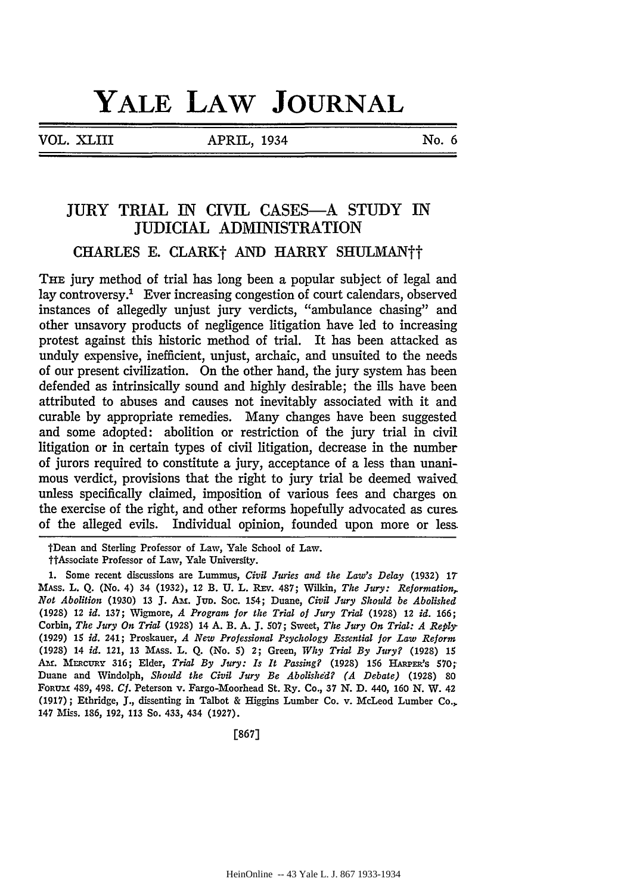# **YALE LAW JOURNAL**

VOL. XLIII APRIL, 1934 No.6

# JURY TRIAL IN CIVIL CASES-A STUDY IN JUDICIAL ADMINISTRATION

# CHARLES E. CLARK† AND HARRY SHULMAN††

THE jury method of trial has long been a popular subject of legal and lay controversy.1 Ever increasing congestion of court calendars, observed instances of allegedly unjust jury verdicts, "ambulance chasing" and other unsavory products of negligence litigation have led to increasing protest against this historic method of trial. It has been attacked as unduly expensive, inefficient, unjust, archaic, and unsuited to the needs of our present civilization. On the other hand, the jury system has been defended as intrinsically sound and highly desirable; the ills have been attributed to abuses and causes not inevitably associated with it and curable by appropriate remedies. Many changes have been suggested and some adopted: abolition or restriction of the jury trial in civil litigation or in certain types of civil litigation, decrease in the number of jurors required to constitute a jury, acceptance of a less than unanimous verdict, provisions that the right to jury trial be deemed waived unless specifically claimed, imposition of various fees and charges on the exercise of the right, and other reforms hopefully advocated as cures. of the alleged evils. Individual opinion, founded upon more or less.

tDean and Sterling Professor of Law, Yale School of Law.

ttAssociate Professor of Law, Yale University.

<sup>1.</sup> Some recent discussions are Lummus, *Civil Juries and the Law's Delay* (1932} 17 MASs. L. Q. (No. 4) 34 (1932), 12 B. U. L. REv. 487; Wilkin, *The Jury: Reformation,. Not Abolition* (1930) 13 J. Au. Jun. Soc. 154; Duane, *Civil Jury Should be Abolished*  (1928) 12 *id.* 137; Wigmore, *A Program for the Trial of Jury Trial* (1928) 12 *id.* 166; Corbin, *The Jury On Trial* (1928) 14 A. B. *A.]. 507;* Sweet, *The Jury On Trial: A Reply-* (1929) 15 *id.* 241; Proskauer, *A New Professional Psychology Essential for Law Reform*  (1928) 14 *id.* 121, 13 MAss. L. Q. (No. 5) 2; Green, *Why Trial By Jury?* (1928) 15 AM. MERCURY 316; Elder, *Trial By Jury: Is It Passing?* (1928) 156 HARPER's 570; Duane and Windolph, *Should the Civil Jury Be Abolishe'd? (A Debate)* (1928) 80 FoRUM 489, 498. Cf. Peterson v. Fargo-Moorhead St. Ry. Co., 37 N. D. 440, 160 N. W. 42 (1917); Ethridge, J., dissenting in Talbot & Higgins Lumber Co. v. McLeod Lumber Co.,. 147 Miss. 186, 192, 113 So. 433, 434 (1927).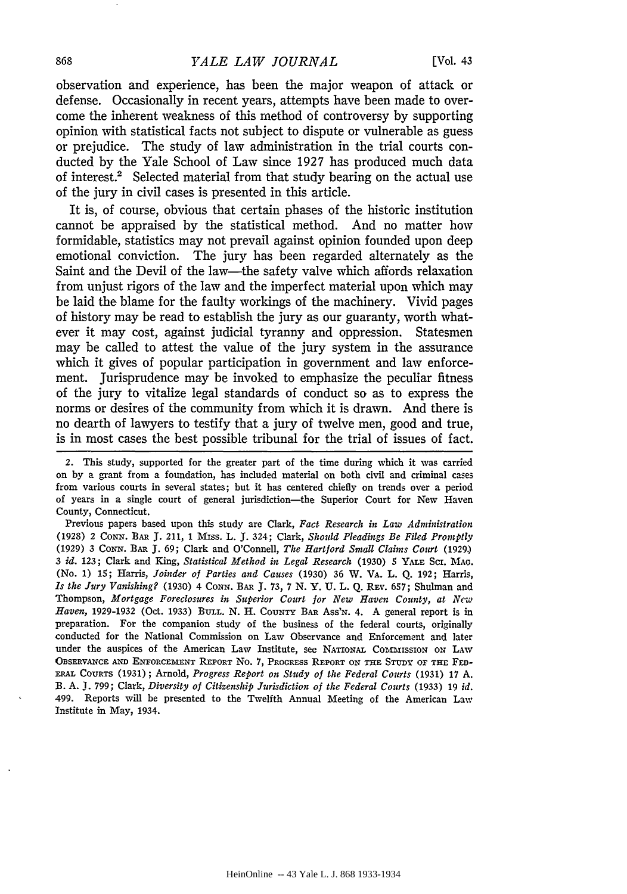#### 868 *YALE LAW JOURNAL* [Vol. 43

observation and experience, bas been the major weapon of attack or defense. Occasionally in recent years, attempts have been made to overcome the inherent weakness of this method of controversy by supporting opinion with statistical facts not subject to dispute or vulnerable as guess or prejudice. The study of law administration in the trial courts conducted by the Yale School of Law since 1927 has produced much data of interest.2 Selected material from that study bearing on the actual use of the jury in civil cases is presented in this article.

It is, of course, obvious that certain phases of the historic institution cannot be appraised by the statistical method. And no matter how formidable, statistics may not prevail against opinion founded upon deep emotional conviction. The jury bas been regarded alternately as the Saint and the Devil of the law-the safety valve which affords relaxation from unjust rigors of the law and the imperfect material upon which may be laid the blame for the faulty workings of the machinery. Vivid pages of history may be read to establish the jury as our guaranty, worth whatever it may cost, against judicial tyranny and oppression. Statesmen may be called to attest the value of the jury system in the assurance which it gives of popular participation in government and law enforcement. Jurisprudence may be invoked to emphasize the peculiar fitness of the jury to vitalize legal standards of conduct so as to express the norms or desires of the community from which it is drawn. And there is no dearth of lawyers to testify that a jury of twelve men, good and true, is in most cases the best possible tribunal for the trial of issues of fact.

Previous papers based upon this study are Clark, *Fact Research in Law Administration*  (1928) *2* CoNN. BAR J. 211, 1 Mrss. L. J. 324; Clark, *Should Pleadings Be Filed Promptly*  (1929) 3 CoNN. BAR J. 69; Clark and O'Connell, *The Hartford Small Claims Court* (1929.) 3 id. 123; Clark and King, *Statistical Method in Legal Research* (1930) *5* YALE Scr. MAG. (No. 1) 15; Harris, *Joinder of Parties and Causes* (1930) 36 W. VA. L. Q. 192; Harris, *Is the Jury Vanishing?* (1930) 4 CONN. BAR J. 73, 7 N. Y. U. L. Q. REV. 657; Shulman and Thompson, *Mortgage Foreclosures in Superior Court for New Haven County, at New Haven,* 1929-1932 (Oct. 1933) BULL. N. H. COUNTY BAR Ass'N. 4. A general report is in preparation. For the companion study of the business of the federal courts, originally conducted for the National Commission on Law Observance and Enforcement and later under the auspices of the American Law Institute, see NATIONAL COMMISSION ON LAW OBSERVANCE AND ENFORCEMENT REPORT No. 7, PROGRESS REPORT ON THE STUDY OF THE FED-ERAL CouRTS (1931); Arnold, *Progress Report on Study of the Federal Courts* (1931) 17 A. B. A. J. 799; Clark, *Diversity of Citizenship Jurisdiction of the Federal Courts* (1933) 19 *id.* 499. Reports will be presented to the Twelfth Annual Meeting of the American Law Institute in May, 1934.

*<sup>2.</sup>* This study, supported for the greater part of the time during which it was carried on by a grant from a foundation, has included material on both civil and criminal cases from various courts in several states; but it has centered chiefly on trends over a period of years in a single court of general jurisdiction-the Superior Court for New Haven County, Connecticut.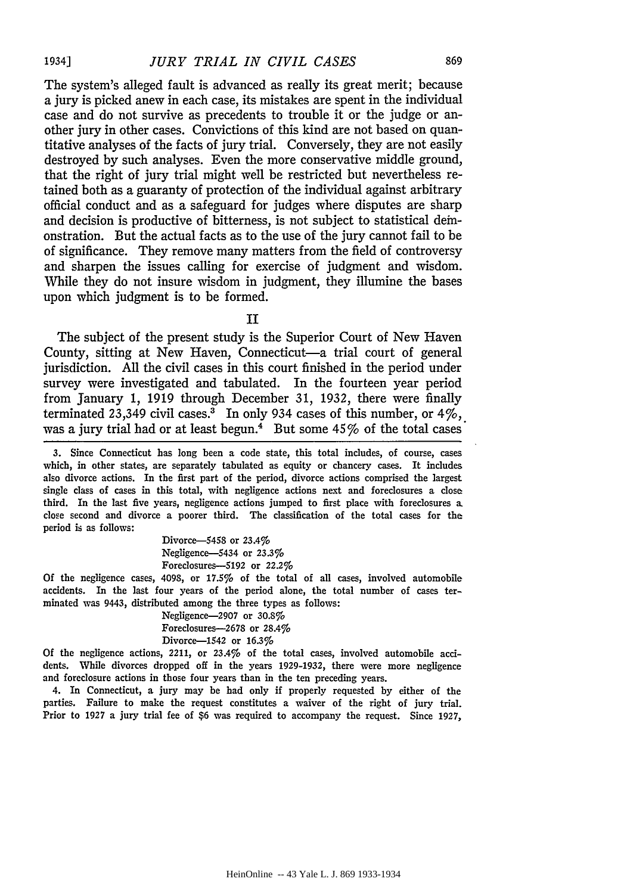The system's alleged fault is advanced as really its great merit; because a jury is picked anew in each case, its mistakes are spent in the individual case and do not survive as precedents to trouble it or the judge or another jury in other cases. Convictions of this kind are not based on quantitative analyses of the facts of jury trial. Conversely, they are not easily destroyed by such analyses. Even the more conservative middle ground, that the right of jury trial might well be restricted but nevertheless retained both as a guaranty of protection of the individual against arbitrary official conduct and as a safeguard for judges where disputes are sharp and decision is productive of bitterness, is not subject to statistical demonstration. But the actual facts as to the use of the jury cannot fail to be of significance. They remove many matters from the field of controversy and sharpen the issues calling for exercise of judgment and wisdom. While they do not insure wisdom in judgment, they illumine the bases upon which judgment is to be formed.

II

The subject of the present study is the Superior Court of New Haven County, sitting at New Haven, Connecticut-a trial court of general jurisdiction. All the civil cases in this court finished in the period under survey were investigated and tabulated. In the fourteen year period from January 1, 1919 through December 31, 1932, there were finally terminated 23,349 civil cases.<sup>3</sup> In only 934 cases of this number, or  $4\frac{6}{10}$ , was a jury trial had or at least begun.<sup>4</sup> But some  $45\%$  of the total cases

3. Since Connecticut has long been a code state, this total includes, of course, cases which, in other states, are separately tabulated as equity or chancery cases. It includes also divorce actions. In the first part of the period, divorce actions comprised the largest single class of cases in this total, with negligence actions next and foreclosures a close: third. In the last five years, negligence actions jumped to first place with foreclosures a close second and divorce a poorer third. The classification of the total cases for the period is as follows:

> Divorce-5458 or 23.4% Negligence-5434 or 23.3% Foreclosures-5192 or 22.2%

Of the negligence cases, 4098, or 17.5% of the total of all cases, involved automobile accidents. In the last four years of the period alone, the total number of cases terminated was 9443, distributed among the three types as follows:

> Negligence-2907 or 30.8% Foreclosures-2678 or 28.4% Divorce-1542 or 16.3%

Of the negligence actions, 2211, or 23.4% of the total cases, involved automobile accidents. While divorces dropped off in the years 1929-1932, there were more negligence and foreclosure actions in those four years than in the ten preceding years.

4. In Connecticut, a jury may be had only if properly requested by either of the parties. Failure to make the request constitutes a waiver of the right of jury trial. Prior to 1927 a jury trial fee of \$6 was required to accompany the request. Since 1927,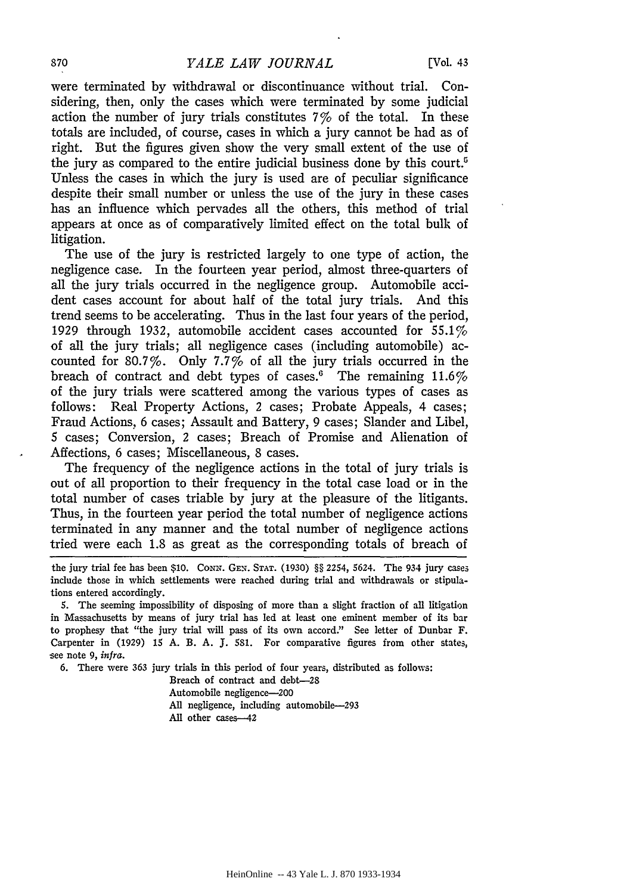were terminated by withdrawal or discontinuance without trial. Considering, then, only the cases which were terminated by some judicial action the number of jury trials constitutes 7% of the total. In these totals are included, of course, cases in which a jury cannot be had as of right. But the figures given show the very small extent of the use of the jury as compared to the entire judicial business done by this court.<sup>5</sup> Unless the cases in which the jury is used are of peculiar significance despite their small number or unless the use of the jury in these cases has an influence which pervades all the others, this method of trial appears at once as of comparatively limited effect on the total bulk of litigation.

The use of the jury is restricted largely to one type of action, the negligence case. In the fourteen year period, almost three-quarters of all the jury trials occurred in the negligence group. Automobile accident cases account for about half of the total jury trials. And this trend seems to be accelerating. Thus in the last four years of the period, 1929 through 1932, automobile accident cases accounted for 55.1% of all the jury trials; all negligence cases (including automobile) accounted for 80.7%. Only 7.7% of all the jury trials occurred in the breach of contract and debt types of cases.<sup>6</sup> The remaining  $11.6\%$ of the jury trials were scattered among the various types of cases as follows: Real Property Actions, 2 cases; Probate Appeals, 4 cases; Fraud Actions, 6 cases; Assault and Battery, 9 cases; Slander and Libel, 5 cases; Conversion, 2 cases; Breach of Promise and Alienation of Affections, 6 cases; Miscellaneous, 8 cases.

The frequency of the negligence actions in the total of jury trials is out of all proportion to their frequency in the total case load or in the total number of cases triable by jury at the pleasure of the litigants. Thus, in the fourteen year period the total number of negligence actions terminated in any manner and the total number of negligence actions tried were each 1.8 as great as the corresponding totals of breach of

6. There were 363 jury trials in this period of four years, distributed as follows:

Breach of contract and debt-28 Automobile negligence-200 All negligence, including automobile-293 All other cases-42

the jury trial fee has been \$10. CONN. GEN. STAT. (1930) §§ 2254, 5624. The 934 jury cases include those in which settlements were reached during trial and withdrawals or stipulations entered accordingly.

*<sup>5.</sup>* The seeming impossibility of disposing of more than a slight fraction of all litigation in Massachusetts by means of jury trial has led at least one eminent member of its bar to prophesy that "the jury trial will pass of its own accord." See letter of Dunbar F. Carpenter in (1929) 15 A. B. A. J. 581. For comparative figures from other states, see note 9, infra.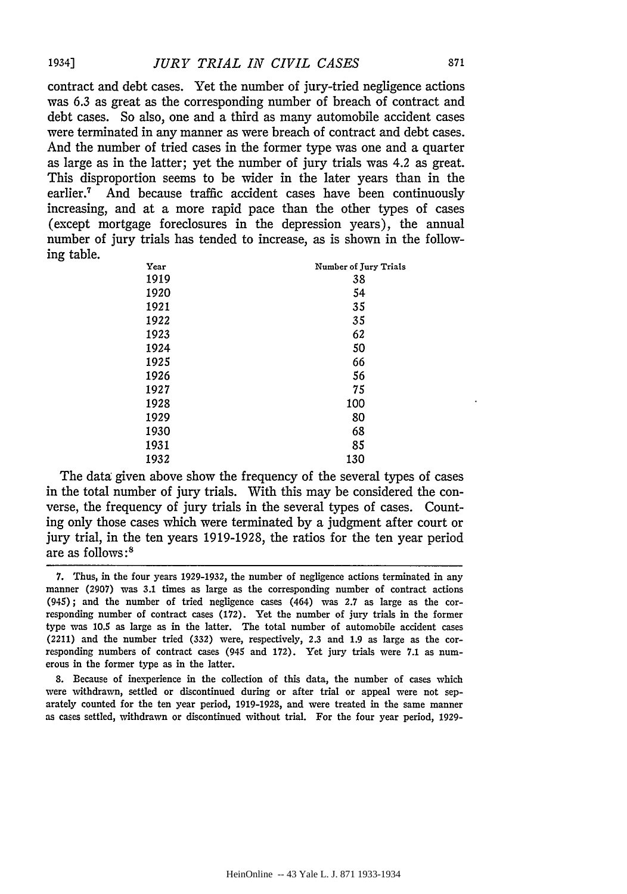contract and debt cases. Yet the number of jury-tried negligence actions was 6.3 as great as the corresponding number of breach of contract and debt cases. So also, one and a third as many automobile accident cases were terminated in any manner as were breach of contract and debt cases. And the number of tried cases in the former type was one and a quarter as large as in the latter; yet the number of jury trials was 4.2 as great. This disproportion seems to be wider in the later years than in the earlier.7 And because traffic accident cases have been continuously increasing, and at a more rapid pace than the other types of cases (except mortgage foreclosures in the depression years), the annual number of jury trials has tended to increase, as is shown in the following table.

| Year | Number of Jury Trials |
|------|-----------------------|
| 1919 | 38                    |
| 1920 | 54                    |
| 1921 | 35                    |
| 1922 | 35                    |
| 1923 | 62                    |
| 1924 | 50                    |
| 1925 | 66                    |
| 1926 | 56                    |
| 1927 | 75                    |
| 1928 | 100                   |
| 1929 | 80                    |
| 1930 | 68                    |
| 1931 | 85                    |
| 1932 | 130                   |

The data given above show the frequency of the several types of cases in the total number of jury trials. With this may be considered the converse, the frequency of jury trials in the several types of cases. Counting only those cases which were terminated by a judgment after court or jury trial, in the ten years 1919-1928, the ratios for the ten year period are as follows: <sup>8</sup>

8. Because of inexperience in the collection of this data, the number of cases which were withdrawn, settled or discontinued during or after trial or appeal were not separately counted for the ten year period, 1919-1928, and were treated in the same manner as cases settled, withdrawn or discontinued without trial. For the four year period, 1929-

<sup>7.</sup> Thus, in the four years 1929-1932, the number of negligence actions terminated in any manner (2907) was 3.1 times as large as the corresponding number of contract actions (945); and the number of tried negligence cases (464) was 2.7 as large as the corresponding number of contract cases (172). Yet the number of jury trials in the former type was 10.5 as large as in the latter. The total number of automobile accident cases (2211) and the number tried (332) were, respectively, 2.3 and 1.9 as large as the corresponding numbers of contract cases (945 and 172). Yet jury trials were 7.1 as numerous in the former type as in the latter.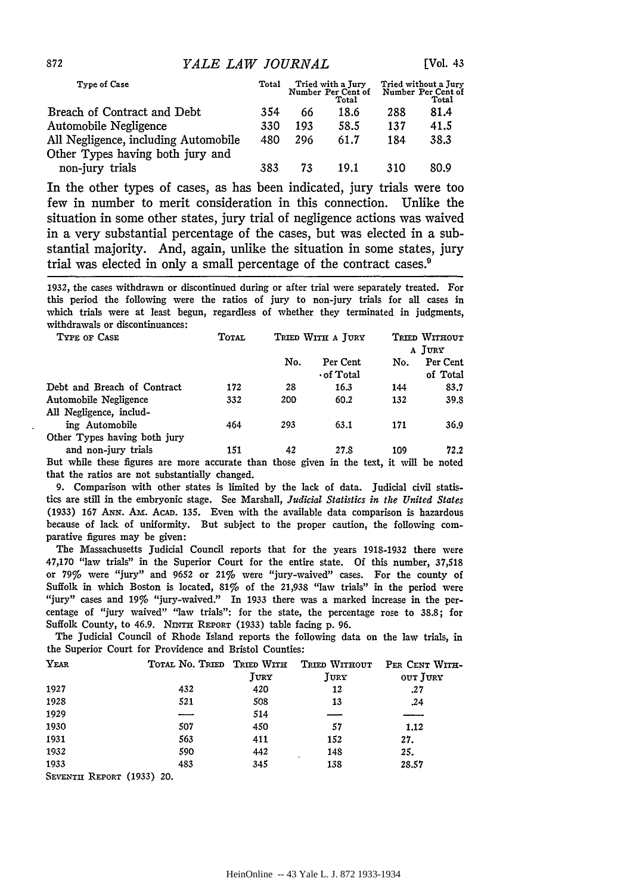| Type of Case                                                             | Total |     | Tried with a Jury<br>Number Per Cent of<br>Total |     | Tried without a Jury<br>Number Per Cent of<br>Total |
|--------------------------------------------------------------------------|-------|-----|--------------------------------------------------|-----|-----------------------------------------------------|
| Breach of Contract and Debt                                              | 354   | 66  | 18.6                                             | 288 | 81.4                                                |
| Automobile Negligence                                                    | 330   | 193 | 58.5                                             | 137 | 41.5                                                |
| All Negligence, including Automobile<br>Other Types having both jury and | 480   | 296 | 61.7                                             | 184 | 38.3                                                |
| non-jury trials                                                          | 383   | 73  | 19.1                                             | 310 | 80.9                                                |

In the other types of cases, as has been indicated, jury trials were too few in number to merit consideration in this connection. Unlike the situation in some other states, jury trial of negligence actions was waived in a very substantial percentage of the cases, but was elected in a substantial majority. And, again, unlike the situation in some states, jury trial was elected in only a small percentage of the contract cases.9

1932, the cases withdrawn or discontinued during or after trial were separately treated. For this period the following were the ratios of jury to non-jury trials for all cases in which trials were at least begun, regardless of whether they terminated in judgments, withdrawals or discontinuances:

| TYPE OF CASE                                     | <b>TOTAL</b> |     | TRIED WITH A JURY            |     | TRIED WITHOUT<br>A JURY |
|--------------------------------------------------|--------------|-----|------------------------------|-----|-------------------------|
|                                                  |              | No. | Per Cent<br>$\cdot$ of Total | No. | Per Cent<br>of Total    |
| Debt and Breach of Contract                      | 172          | 28  | 16.3                         | 144 | 83.7                    |
| Automobile Negligence<br>All Negligence, includ- | 332          | 200 | 60.2                         | 132 | 39.8                    |
| ing Automobile                                   | 464          | 293 | 63.1                         | 171 | 36.9                    |
| Other Types having both jury                     |              |     |                              |     |                         |
| and non-jury trials                              | 151          | 42  | 27.8                         | 109 | 72.2                    |

But while these figures are more accurate than those given in the text, it will be noted that the ratios are not substantially changed.

9. Comparison with other states is limited by the lack of data. Judicial civil statistics are still in the embryonic stage. See Marshall, *Judicial Statistics in the United States* (1933) 167 ANN. AM. ACAD. 135. Even with the available data comparison is hazardous because of lack of uniformity. But subject to the proper caution, the following comparative figures may be given:

The Massachusetts Judicial Council reports that for the years 1918-1932 there were 47,170 "law trials" in the Superior Court for the entire state. Of this number, 37,518 or 79% were "jury" and 9652 or 21% were "jury-waived" cases. For the county of Suffolk in which Boston is located, 81% of the 21,938 "law trials" in the period were "jury" cases and 19% "jury-waived." In 1933 there was a marked increase in the percentage of "jury waived" "law trials": for the state, the percentage rose to 38.8; for Suffolk County, to 46.9. NINTH REPORT (1933) table facing p. 96.

The Judicial Council of Rhode Island reports the following data on the law trials, in the Superior Court for Providence and Bristol Counties:

| YEAR                      | TOTAL NO. TRIED TRIED WITH |      | TRIED WITHOUT | PER CENT WITH- |
|---------------------------|----------------------------|------|---------------|----------------|
|                           |                            | JURY | JURY          | OUT JURY       |
| 1927                      | 432                        | 420  | 12            | .27            |
| 1928                      | 521                        | 508  | 13            | .24            |
| 1929                      |                            | 514  |               |                |
| 1930                      | 507                        | 450  | 57            | 1.12           |
| 1931                      | 563                        | 411  | 152           | 27.            |
| 1932                      | 590                        | 442  | 148           | 25.            |
| 1933                      | 483                        | 345  | 138           | 28.57          |
| SEVENTH REPORT (1933) 20. |                            |      |               |                |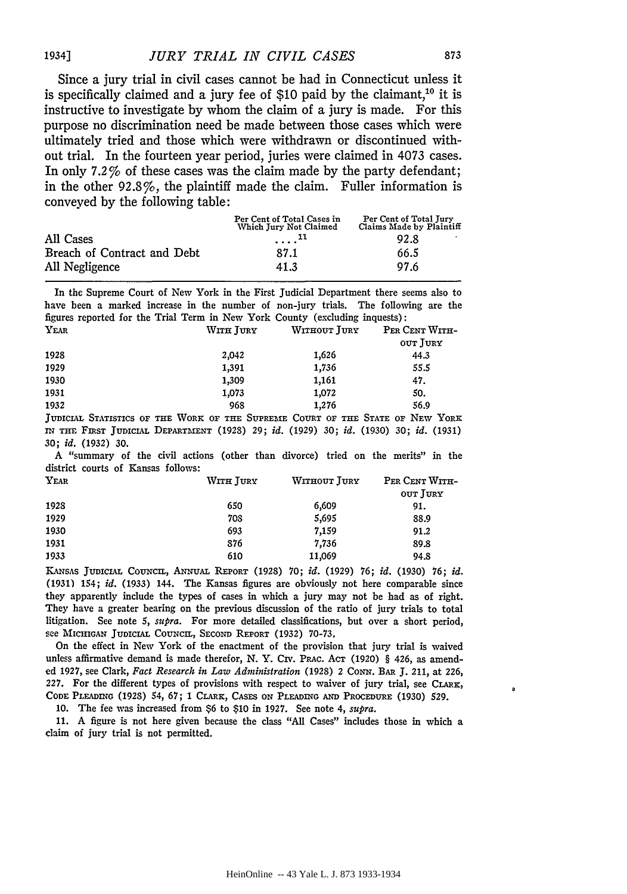Since a jury trial in civil cases cannot be had in Connecticut unless it is specifically claimed and a jury fee of \$10 paid by the claimant,<sup>10</sup> it is instructive to investigate by whom the claim of a jury is made. For this purpose no discrimination need be made between those cases which were ultimately tried and those which were withdrawn or discontinued without trial. In the fourteen year period, juries were claimed in 4073 cases. In only 7.2% of these cases was the claim made by the party defendant; in the other 92.8%, the plaintiff made the claim. Fuller information is conveyed by the following table:

|                             | Per Cent of Total Cases in<br>Which Jury Not Claimed | Per Cent of Total Jury<br>Claims Made by Plaintiff |
|-----------------------------|------------------------------------------------------|----------------------------------------------------|
| All Cases                   | .                                                    | 92.8<br>в.                                         |
| Breach of Contract and Debt | 87.1                                                 | 66.5                                               |
| All Negligence              | 41.3                                                 | 97.6                                               |

In the Supreme Court of New York in the First Judicial Department there seems also to have been a marked increase in the number of non-jury trials. The following are the figures reported for the Trial Term in New York County (excluding inquests):

| YEAR | WITH JURY | WITHOUT JURY | PER CENT WITH- |
|------|-----------|--------------|----------------|
|      |           |              | OUT JURY       |
| 1928 | 2,042     | 1,626        | 44.3           |
| 1929 | 1,391     | 1,736        | 55.5           |
| 1930 | 1,309     | 1.161        | 47.            |
| 1931 | 1,073     | 1,072        | 50.            |
| 1932 | 968       | 1,276        | 56.9           |
|      |           |              |                |

JUDICIAL STATISTICS OF THE WORK OF THE SUPREME COURT OF THE STATE OF NEW YORK IN THE FmST JuDICIAL DEPARTMENT (1928) 29; *id.* (1929) 30; *id.* (1930) 30; *id.* (1931) 30; *id.* (1932) 30.

A "summary of the civil actions (other than divorce) tried on the merits" in the district courts of Kansas follows:

| WITH JURY | WITHOUT JURY | PER CENT WITH- |
|-----------|--------------|----------------|
|           |              | OUT JURY       |
| 650       | 6,609        | 91.            |
| 708       | 5,695        | 88.9           |
| 693       | 7,159        | 91,2           |
| 876       | 7,736        | 89.8           |
| 610       | 11,069       | 94.8           |
|           |              |                |

KANsAs JuDICIAL CouNCIL, ANNuAL REPORT (1928) 70; *id.* (1929) 76; *id.* (1930) 76; id. (1931) 154; *id.* (1933) 144. The Kansas figures are obviously not here comparable since they apparently include the types of cases in which a jury may not be had as of right. They have a greater bearing on the previous discussion of the ratio of jury trials to total litigation. See note 5, *supra.* For more detailed classifications, but over a short period, see MICHIGAN JUDICIAL COUNCIL, SECOND REPORT (1932) 70-73,

On the effect in New York of the enactment of the provision that jury trial is waived unless affirmative demand is made therefor, N. Y. Crv. Prac. Acr (1920) § 426, as amended 1927, see Clark, *Fact Research in Law Administration* (1928) 2 CoNN. BAR J. 211, at 226, 227. For the different types of provisions with respect to waiver of jury trial, see CLARx, CODE PLEADING (1928) 54, 67; 1 CLARK, CASES ON PLEADING AND PROCEDURE (1930) 529.

10. The fee was increased from \$6 to \$10 in 1927. See note 4, *supra.* 

11. A figure is not here given because the class "All Cases" includes those in which a claim of jury trial is not permitted.

 $\ddot{\phantom{0}}$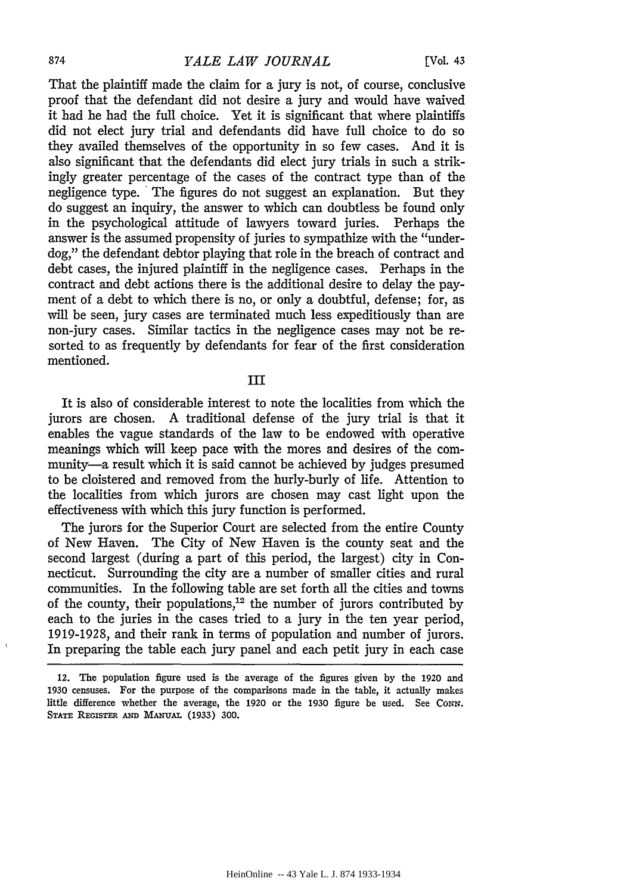#### 874 *YALE LAW JOURNAL* [Vol. 43

That the plaintiff made the claim for a jury is not, of course, conclusive proof that the defendant did not desire a jury and would have waived it had he had the full choice. Yet it is significant that where plaintiffs did not elect jury trial and defendants did have full choice to do so they availed themselves of the opportunity in so few cases. And it is also significant that the defendants did elect jury trials in such a strikingly greater percentage of the cases of the contract type than of the negligence type. The figures do not suggest an explanation. But they do suggest an inquiry, the answer to which can doubtless be found only in the psychological attitude of lawyers toward juries. Perhaps the answer is the assumed propensity of juries to sympathize with the "underdog," the defendant debtor playing that role in the breach of contract and debt cases, the injured plaintiff in the negligence cases. Perhaps in the contract and debt actions there is the additional desire to delay the payment of a debt to which there is no, or only a doubtful, defense; for, as will be seen, jury cases are terminated much less expeditiously than are non-jury cases. Similar tactics in the negligence cases may not be resorted to as frequently by defendants for fear of the first consideration mentioned.

## III

It is also of considerable interest to note the localities from which the jurors are chosen. A traditional defense of the jury trial is that it enables the vague standards of the law to be endowed with operative meanings which will keep pace with the mores and desires of the community-a result which it is said cannot be achieved by judges presumed to be cloistered and removed from the burly-burly of life. Attention to the localities from which jurors are chosen may cast light upon the effectiveness with which this jury function is performed.

The jurors for the Superior Court are selected from the entire County of New Haven. The City of New Haven is the county seat and the second largest (during a part of this period, the largest) city in Connecticut. Surrounding the city are a number of smaller cities and rural communities. In the following table are set forth all the cities and towns of the county, their populations,<sup>12</sup> the number of jurors contributed by each to the juries in the cases tried to a jury in the ten year period, 1919-1928, and their rank in terms of population and number of jurors. In preparing the table each jury panel and each petit jury in each case

<sup>12.</sup> The population figure used is the average of the figures given by the 1920 and 1930 censuses. For the purpose of the comparisons made in the table, it actually makes little difference whether the average, the 1920 or the 1930 figure be used. See CONN. STATE REGISTER AND MANUAL (1933) 300.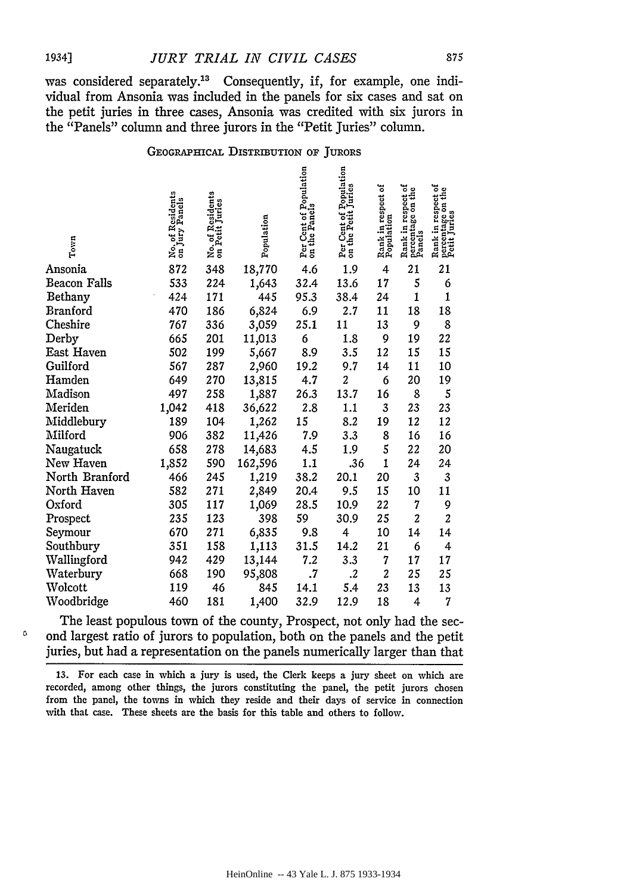was considered separately.<sup>13</sup> Consequently, if, for example, one individual from Ansonia was included in the panels for six cases and sat on the petit juries in three cases, Ansonia was credited with six jurors in the "Panels" column and three jurors in the "Petit Juries" column.

#### GEOGRAPHICAL DISTRIBUTION OF JURORS

| Town            | No. of Residents<br>on Jury Panels | No. of Residents<br>on Petit Juries | Population | Per Cent of Population<br>on the Panels | Per Cent of Population<br>on the Petit Juries | Rank in respect of<br>Population | Rank in respect of<br>percentage on the<br>Panels | Rank in respect of<br>percentage on the<br>Petit Juries |
|-----------------|------------------------------------|-------------------------------------|------------|-----------------------------------------|-----------------------------------------------|----------------------------------|---------------------------------------------------|---------------------------------------------------------|
| Ansonia         | 872                                | 348                                 | 18,770     | 4.6                                     | 1.9                                           | 4                                | 21                                                | 21                                                      |
| Beacon Falls    | 533                                | 224                                 | 1,643      | 32.4                                    | 13.6                                          | 17                               | 5                                                 | 6                                                       |
| Bethany         | 424                                | 171                                 | 445        | 95.3                                    | 38.4                                          | 24                               | 1                                                 | $\mathbf{1}$                                            |
| <b>Branford</b> | 470                                | 186                                 | 6,824      | 6.9                                     | 2.7                                           | 11                               | 18                                                | 18                                                      |
| Cheshire        | 767                                | 336                                 | 3,059      | 25.1                                    | 11                                            | 13                               | 9                                                 | 8                                                       |
| Derby           | 665                                | 201                                 | 11,013     | 6                                       | 1.8                                           | 9                                | 19                                                | 22                                                      |
| East Haven      | 502                                | 199                                 | 5,667      | 8.9                                     | 3.5                                           | 12                               | 15                                                | 15                                                      |
| Guilford        | 567                                | 287                                 | 2,960      | 19.2                                    | 9.7                                           | 14                               | 11                                                | 10                                                      |
| Hamden          | 649                                | 270                                 | 13,815     | 4.7                                     | 2                                             | 6                                | 20                                                | 19                                                      |
| Madison         | 497                                | 258                                 | 1,887      | 26.3                                    | 13.7                                          | 16                               | 8                                                 | 5                                                       |
| Meriden         | 1,042                              | 418                                 | 36,622     | 2.8                                     | $1.1\,$                                       | 3                                | 23                                                | 23                                                      |
| Middlebury      | 189                                | 104                                 | 1,262      | 15                                      | 8.2                                           | 19                               | 12                                                | 12                                                      |
| Milford         | 906                                | 382                                 | 11,426     | 7.9                                     | 3.3                                           | 8                                | 16                                                | 16                                                      |
| Naugatuck       | 658                                | 278                                 | 14,683     | 4.5                                     | 1.9                                           | 5                                | 22                                                | 20                                                      |
| New Haven       | 1,852                              | 590                                 | 162,596    | 1.1                                     | .36                                           | $\mathbf{1}$                     | 24                                                | 24                                                      |
| North Branford  | 466                                | 245                                 | 1,219      | 38.2                                    | 20.1                                          | 20                               | 3                                                 | 3                                                       |
| North Haven     | 582                                | 271                                 | 2,849      | 20.4                                    | 9.5                                           | 15                               | 10                                                | 11                                                      |
| Oxford          | 305                                | 117                                 | 1,069      | 28.5                                    | 10.9                                          | 22                               | 7                                                 | 9                                                       |
| Prospect        | 235                                | 123                                 | 398        | 59                                      | 30.9                                          | 25                               | $\overline{\mathbf{c}}$                           | $\overline{\mathbf{c}}$                                 |
| Seymour         | 670                                | 271                                 | 6,835      | 9.8                                     | 4                                             | 10                               | 14                                                | 14                                                      |
| Southbury       | 351                                | 158                                 | 1,113      | 31.5                                    | 14.2                                          | 21                               | 6                                                 | 4                                                       |
| Wallingford     | 942                                | 429                                 | 13,144     | 7.2                                     | 3.3                                           | 7                                | 17                                                | 17                                                      |
| Waterbury       | 668                                | 190                                 | 95,808     | $\cdot$ 7                               | $\cdot^2$                                     | $\boldsymbol{2}$                 | 25                                                | 25                                                      |
| Wolcott         | 119                                | 46                                  | 845        | 14.1                                    | 5.4                                           | 23                               | 13                                                | 13                                                      |
| Woodbridge      | 460                                | 181                                 | 1,400      | 32.9                                    | 12.9                                          | 18                               | 4                                                 | 7                                                       |

The least populous town of the county, Prospect, not only had the sec-  $\degree$  ond largest ratio of jurors to population, both on the panels and the petit juries, but had a representation on the panels numerically larger than that

13. For each case in which a jury is used, the Clerk keeps a jury sheet on which are recorded, among other things, the jurors constituting the panel, the petit jurors chosen from the panel, the towns in which they reside and their days of service in connection with that case. These sheets are the basis for this table and others to follow.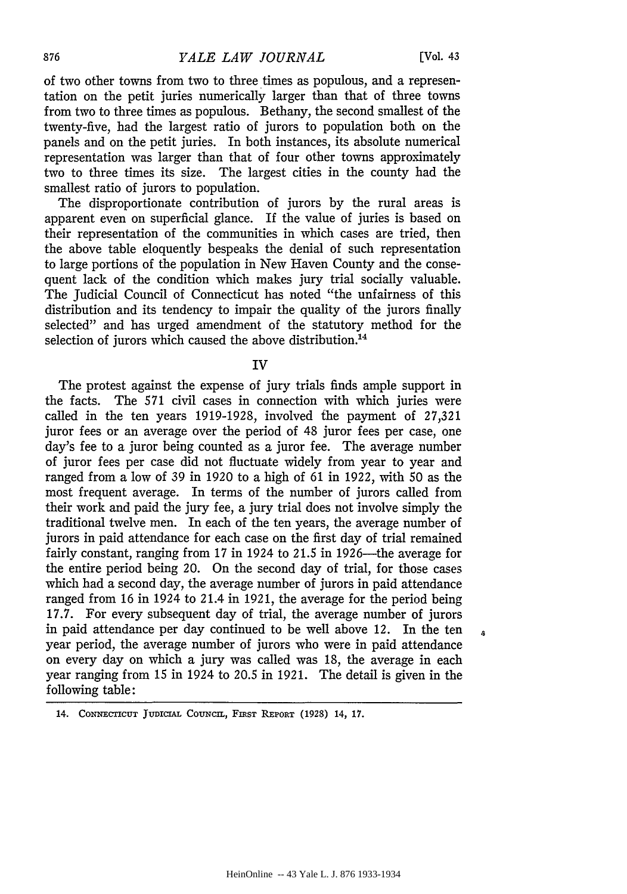s

of two other towns from two to three times as populous, and a representation on the petit juries numerically larger than that of three towns from two to three times as populous. Bethany, the second smallest of the twenty-five, had the largest ratio of jurors to population both on the panels and on the petit juries. In both instances, its absolute numerical representation was larger than that of four other towns approximately two to three times its size. The largest cities in the county had the smallest ratio of jurors to population.

The disproportionate contribution of jurors by the rural areas is apparent even on superficial glance. If the value of juries is based on their representation of the communities in which cases are tried, then the above table eloquently bespeaks the denial of such representation to large portions of the population in New Haven County and the consequent lack of the condition which makes jury trial socially valuable. The Judicial Council of Connecticut has noted "the unfairness of this distribution and its tendency to impair the quality of the jurors finally selected" and has urged amendment of the statutory method for the selection of jurors which caused the above distribution.<sup>14</sup>

IV

The protest against the expense of jury trials finds ample support in the facts. The 571 civil cases in connection with which juries were called in the ten years 1919-1928, involved the payment of 27,321 juror fees or an average over the period of 48 juror fees per case, one day's fee to a juror being counted as a juror fee. The average number of juror fees per case did not fluctuate widely from year to year and ranged from a low of 39 in 1920 to a high of 61 in 1922, with 50 as the most frequent average. In terms of the number of jurors called from their work and paid the jury fee, a jury trial does not involve simply the traditional twelve men. In each of the ten years, the average number of jurors in paid attendance for each case on the first day of trial remained fairly constant, ranging from  $17$  in 1924 to  $21.5$  in 1926—the average for the entire period being 20. On the second day of trial, for those cases which had a second day, the average number of jurors in paid attendance ranged from 16 in 1924 to 21.4 in 1921, the average for the period being 17.7. For every subsequent day of trial, the average number of jurors in paid attendance per day continued to be well above 12. In the ten year period, the average number of jurors who were in paid attendance on every day on which a jury was called was 18, the average in each year ranging from 15 in 1924 to 20.5 in 1921. The detail is given in the following table:

<sup>14.</sup> CoNNECTICUT JuorCIAL CoUNCIL, FmsT REPORT (1928) 14, 17.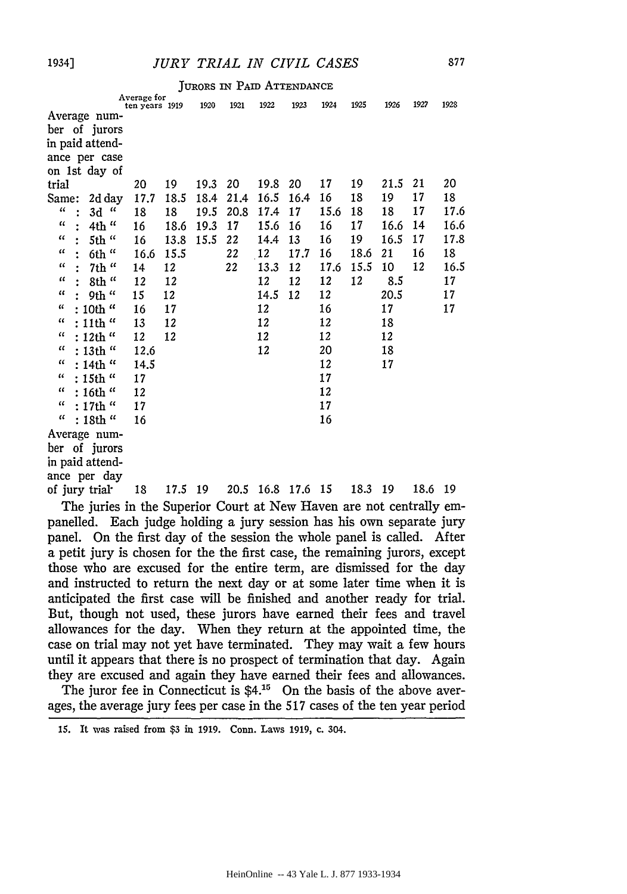### 1934] *JURY TRIAL IN CIVIL CASES*

|  |  |  | JURORS IN PAID ATTENDANCE |
|--|--|--|---------------------------|
|--|--|--|---------------------------|

|                                                                     | Average for<br>ten years 1919 |      | 1920 | 1921 | 1922 | 1923      | 1924 | 1925 | 1926 | 1927 | 1928 |
|---------------------------------------------------------------------|-------------------------------|------|------|------|------|-----------|------|------|------|------|------|
| Average num-                                                        |                               |      |      |      |      |           |      |      |      |      |      |
| ber of jurors                                                       |                               |      |      |      |      |           |      |      |      |      |      |
| in paid attend-                                                     |                               |      |      |      |      |           |      |      |      |      |      |
| ance per case                                                       |                               |      |      |      |      |           |      |      |      |      |      |
| on 1st day of                                                       |                               |      |      |      |      |           |      |      |      |      |      |
| trial                                                               | 20                            | 19   | 19.3 | 20   | 19.8 | 20        | 17   | 19   | 21.5 | 21   | 20   |
| Same:<br>2d day                                                     | 17.7                          | 18.5 | 18.4 | 21.4 | 16.5 | 16.4      | 16   | 18   | 19   | 17   | 18   |
| $\mathcal{U}$<br>$\mu$<br>3d<br>$\ddot{\cdot}$                      | 18                            | 18   | 19.5 | 20.8 | 17.4 | 17        | 15.6 | 18   | 18   | 17   | 17.6 |
| $\epsilon$<br>4th "                                                 | 16                            | 18.6 | 19.3 | 17   | 15.6 | 16        | 16   | 17   | 16.6 | 14   | 16.6 |
| $\epsilon$<br>5th "                                                 | 16                            | 13.8 | 15.5 | 22   | 14.4 | 13        | 16   | 19   | 16.5 | 17   | 17.8 |
| $\mathcal{U}$<br>6th "                                              | 16.6                          | 15.5 |      | 22   | 12   | 17.7      | 16   | 18.6 | 21   | 16   | 18   |
| $\mathcal{U}$<br>7th "<br>$\bullet$                                 | 14                            | 12   |      | 22   | 13.3 | 12        | 17.6 | 15.5 | 10   | 12   | 16.5 |
| $\alpha$<br>8th "                                                   | 12                            | 12   |      |      | 12   | 12        | 12   | 12   | 8.5  |      | 17   |
| $\mu$<br>9th "                                                      | 15                            | 12   |      |      | 14.5 | 12        | 12   |      | 20.5 |      | 17   |
| $\mathcal{U}% _{t}\left( t\right) \left( t\right)$<br>10th $\alpha$ | 16                            | 17   |      |      | 12   |           | 16   |      | 17   |      | 17   |
| $\mathcal{U}$<br>$:$ 11th $"$                                       | 13                            | 12   |      |      | 12   |           | 12   |      | 18   |      |      |
| $\epsilon\epsilon$<br>: 12th "                                      | 12                            | 12   |      |      | 12   |           | 12   |      | 12   |      |      |
| $\mathfrak{c}\mathfrak{c}$<br>: 13th "                              | 12.6                          |      |      |      | 12   |           | 20   |      | 18   |      |      |
| $\alpha$<br>$: 14th$ "                                              | 14.5                          |      |      |      |      |           | 12   |      | 17   |      |      |
| $\epsilon$<br>: 15th $\mathrm{^{\alpha}}$                           | 17                            |      |      |      |      |           | 17   |      |      |      |      |
| $\alpha$<br>$:16th$ "                                               | 12                            |      |      |      |      |           | 12   |      |      |      |      |
| $\epsilon\epsilon$<br>$: 17th$ "                                    | 17                            |      |      |      |      |           | 17   |      |      |      |      |
| $\mu$<br>: 18th "                                                   | 16                            |      |      |      |      |           | 16   |      |      |      |      |
| Average num-                                                        |                               |      |      |      |      |           |      |      |      |      |      |
| ber of jurors                                                       |                               |      |      |      |      |           |      |      |      |      |      |
| in paid attend-                                                     |                               |      |      |      |      |           |      |      |      |      |      |
| ance per day                                                        |                               |      |      |      |      |           |      |      |      |      |      |
| of jury trial                                                       | 18                            | 17.5 | 19   | 20.5 |      | 16.8 17.6 | -15  | 18.3 | 19   | 18.6 | 19   |

The juries in the Superior Court at New Haven are not centrally empanelled. Each judge holding a jury session has his own separate jury panel. On the first day of the session the whole panel is called. After a petit jury is chosen for the the first case, the remaining jurors, except those who are excused for the entire term, are dismissed for the day and instructed to return the next day or at some later time when it is anticipated the first case will be finished and another ready for triaL But, though not used, these jurors have earned their fees and travel allowances for the day. When they return at the appointed time, the case on trial may not yet have terminated. They may wait a few hours until it appears that there is no prospect of termination that day. Again they are excused and again they have earned their fees and allowances.

The juror fee in Connecticut is  $$4.15$  On the basis of the above averages, the average jury fees per case in the 517 cases of the ten year period

<sup>15.</sup> It was raised from \$3 in 1919. Conn. Laws 1919, c. 304.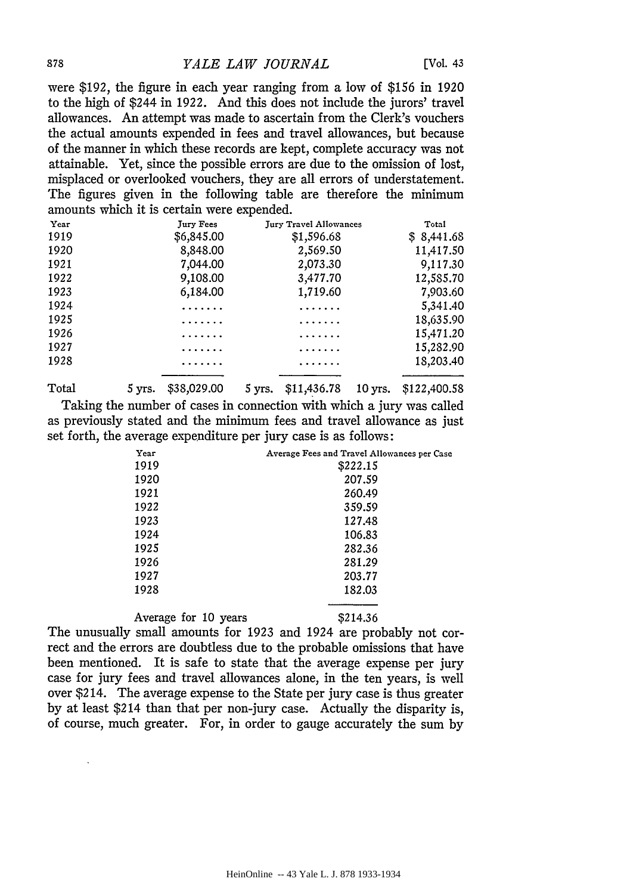#### 878 *YALE LAW JOURNAL* [Vol. 43

were \$192, the figure in each year ranging from a low of \$156 in 1920 to the high of \$244 in 1922. And this does not include the jurors' travel allowances. An attempt was made to ascertain from the Clerk's vouchers the actual amounts expended in fees and travel allowances, but because of the manner in which these records are kept, complete accuracy was not attainable. Yet, since the possible errors are due to the omission of lost, misplaced or overlooked vouchers, they are all errors of understatement. The figures given in the following table are therefore the minimum amounts which it is certain were expended.

| Year | Jury Fees  | <b>Jury Travel Allowances</b> | Total       |
|------|------------|-------------------------------|-------------|
| 1919 | \$6,845.00 | \$1,596.68                    | \$ 8,441.68 |
| 1920 | 8,848.00   | 2,569.50                      | 11,417.50   |
| 1921 | 7,044.00   | 2,073.30                      | 9,117.30    |
| 1922 | 9,108.00   | 3,477.70                      | 12,585.70   |
| 1923 | 6,184.00   | 1,719.60                      | 7,903.60    |
| 1924 | .          | .                             | 5,341.40    |
| 1925 |            | .                             | 18,635.90   |
| 1926 |            | .                             | 15,471.20   |
| 1927 | .          | .                             | 15,282.90   |
| 1928 |            |                               | 18,203.40   |
|      |            |                               |             |

Total 5 yrs. \$38,029.00 5 yrs. \$11,436.78 10 yrs. \$122,400.58 Taking the number of cases in connection with which a jury was called as previously stated and the minimum fees and travel allowance as just set forth, the average expenditure per jury case is as follows:

| Year | Average Fees and Travel Allowances per Case |
|------|---------------------------------------------|
| 1919 | \$222.15                                    |
| 1920 | 207.59                                      |
| 1921 | 260.49                                      |
| 1922 | 359.59                                      |
| 1923 | 127.48                                      |
| 1924 | 106.83                                      |
| 1925 | 282.36                                      |
| 1926 | 281.29                                      |
| 1927 | 203.77                                      |
| 1928 | 182.03                                      |
|      |                                             |

Average for 10 years \$214.36

The unusually small amounts for 1923 and 1924 are probably not correct and the errors are doubtless due to the probable omissions that have been mentioned. It is safe to state that the average expense per jury case for jury fees and travel allowances alone, in the ten years, is well over \$214. The average expense to the State per jury case is thus greater by at least \$214 than that per non-jury case. Actually the disparity is, of course, much greater. For, in order to gauge accurately the sum by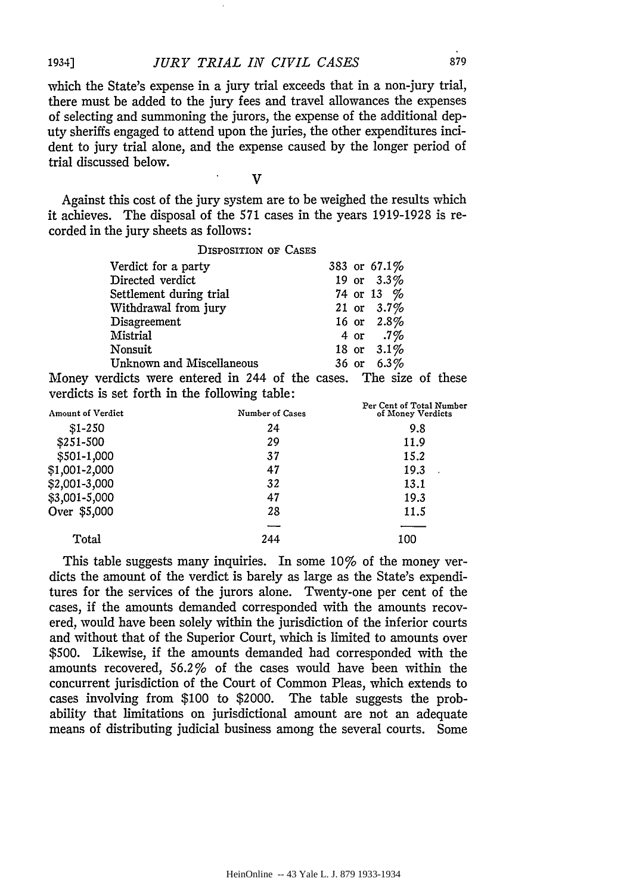# 1934] *JURY TRIAL IN CIVIL CASES* 879

which the State's expense in a jury trial exceeds that in a non-jury trial, there must be added to the jury fees and travel allowances the expenses of selecting and summoning the jurors, the expense of the additional deputy sheriffs engaged to attend upon the juries, the other expenditures incident to jury trial alone, and the expense caused by the longer period of trial discussed below.

v

 $\mathbf{r}$ 

Against this cost of the jury system are to be weighed the results which it achieves. The disposal of the 571 cases in the years 1919-1928 is recorded in the jury sheets as follows:

DISPOSITION OF CASES

| Verdict for a party       | 383 or 67.1% |
|---------------------------|--------------|
| Directed verdict          | 19 or 3.3%   |
| Settlement during trial   | 74 or 13 %   |
| Withdrawal from jury      | 21 or 3.7%   |
| Disagreement              | 16 or 2.8%   |
| Mistrial                  | 4 or .7%     |
| Nonsuit                   | 18 or 3.1%   |
| Unknown and Miscellaneous | 36 or 6.3%   |

Money verdicts were entered in 244 of the cases. The size of these verdicts is set forth in the following table: Per Cent of Total Number

| <b>Amount of Verdict</b> | Number of Cases | Per Cent of Total Number<br>of Money Verdicts |  |  |
|--------------------------|-----------------|-----------------------------------------------|--|--|
| $$1-250$                 | 24              | 9.8                                           |  |  |
| \$251-500                | 29              | 11.9                                          |  |  |
| \$501-1,000              | 37              | 15.2                                          |  |  |
| \$1,001-2,000            | 47              | 19.3                                          |  |  |
| \$2,001-3,000            | 32              | 13.1                                          |  |  |
| \$3,001-5,000            | 47              | 19.3                                          |  |  |
| Over \$5,000             | 28              | 11.5                                          |  |  |
|                          |                 |                                               |  |  |
| Total                    | 244             | 100                                           |  |  |

This table suggests many inquiries. In some 10% of the money verdicts the amount of the verdict is barely as large as the State's expenditures for the services of the jurors alone. Twenty-one per cent of the cases, if the amounts demanded corresponded with the amounts recovered, would have been solely within the jurisdiction of the inferior courts and without that of the Superior Court, which is limited to amounts over \$500. Likewise, if the amounts demanded had corresponded with the amounts recovered, 56.2% of the cases would have been within the concurrent jurisdiction of the Court of Common Pleas, which extends to cases involving from \$100 to \$2000. The table suggests the probability that limitations on jurisdictional amount are not an adequate means of distributing judicial business among the several courts. Some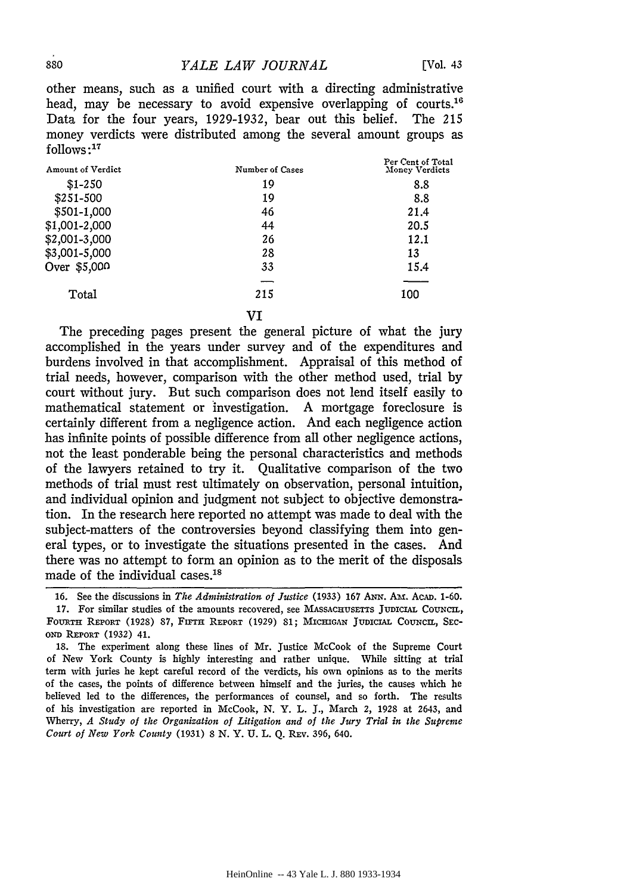other means, such as a unified court with a directing administrative head, may be necessary to avoid expensive overlapping of courts.<sup>16</sup> Data for the four years, 1929-1932, bear out this belief. The 215 money verdicts were distributed among the several amount groups as follows : 17

| Amount of Verdict | Number of Cases | Per Cent of Total<br>Money Verdicts |  |  |
|-------------------|-----------------|-------------------------------------|--|--|
| $$1-250$          | 19              | 8.8                                 |  |  |
| \$251-500         | 19              | 8.8                                 |  |  |
| \$501-1,000       | 46              | 21.4                                |  |  |
| \$1,001-2,000     | 44              | 20.5                                |  |  |
| \$2,001-3,000     | 26              | 12.1                                |  |  |
| \$3,001-5,000     | 28              | 13                                  |  |  |
| Over \$5,000      | 33              | 15.4                                |  |  |
|                   |                 |                                     |  |  |
| Total             | 215             | 100                                 |  |  |
|                   | VI              |                                     |  |  |

The preceding pages present the general picture of what the jury accomplished in the years under survey and of the expenditures and burdens involved in that accomplishment. Appraisal of this method of trial needs, however, comparison with the other method used, trial by court without jury. But such comparison does not lend itself easily to mathematical statement or investigation. A mortgage foreclosure is certainly different from a negligence action. And each negligence action has infinite points of possible difference from all other negligence actions, not the least ponderable being the personal characteristics and methods of the lawyers retained to try it. Qualitative comparison of the two methods of trial must rest ultimately on observation, personal intuition, and individual opinion and judgment not subject to objective demonstration. In the research here reported no attempt was made to deal with the subject-matters of the controversies beyond classifying them into general types, or to investigate the situations presented in the cases. And there was no attempt to form an opinion as to the merit of the disposals made of the individual cases.18

<sup>16.</sup> See the discussions in *Tlte Administration of Justice* (1933) 167 ANN. Au. AcAD. 1-60. 17. For similar studies of the amounts recovered, see MASSACHUSETTS JUDICIAL COUNCIL, FOURTH REPORT (1928) 87, FIFTH REPORT (1929) 81; MICHIGAN JuDICIAL COUNCIL, SEC-OND REPORT (1932) 41.

<sup>18.</sup> The experiment along these lines of Mr. Justice McCook of the Supreme Court of New York County is highly interesting and rather unique. While sitting at trial term with juries he kept careful record of the verdicts, his own opinions as to the merits of the cases, the points of difference between himself and the juries, the causes which he believed led to the differences, the performances of counsel, and so forth. The results of his investigation are reported in McCook, N. Y. L. J., March 2, 1928 at 2643, and Wherry, *A Study of the Organization of Litigation and of the Jury Trial in the Supreme Court of New York County* (1931) 8 N.Y. U. L. Q. REV. 396, 640.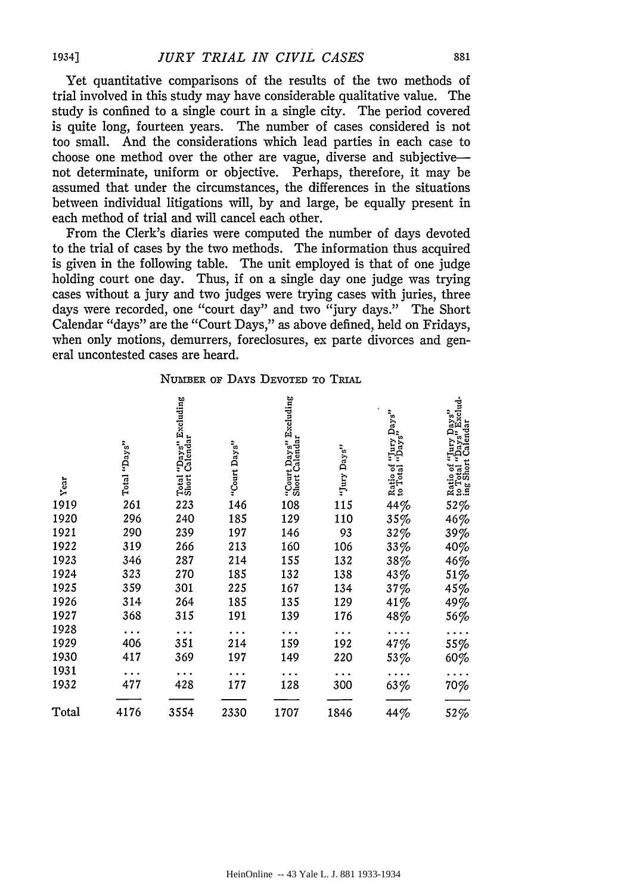Yet quantitative comparisons of the results of the two methods of trial involved in this study may have considerable qualitative value. The study is confined to a single court in a single city. The period covered is quite long, fourteen years. The number of cases considered is not too small. And the considerations which lead parties in each case to choose one method over the other are vague, diverse and subjectivenot determinate, uniform or objective. Perhaps, therefore, it may be assumed that under the circumstances, the differences in the situations between individual litigations will, by and large, be equally present in each method of trial and will cancel each other.

From the Clerk's diaries were computed the number of days devoted to the trial of cases by the two methods. The information thus acquired is given in the following table. The unit employed is that of one judge holding court one day. Thus, if on a single day one judge was trying cases without a jury and two judges were trying cases with juries, three days were recorded, one "court day" and two "jury days." The Short Calendar "days" are the "Court Days," as above defined, held on Fridays, when only motions, demurrers, foreclosures, ex parte divorces and general uncontested cases are heard.

#### NuMBER oF DAYS DEVOTED To TRIAL

| Year  | Total "Days" | "Days" Excluding<br>Calendar<br>Total<br>Short | "Court Days" | "Court Days" Excluding<br>Short Calendar | "Jury Days" | ays"<br>i <sup>1</sup> ury<br>Ratio of<br>to Total | "Jury Days"<br>"Days" Exclud-<br>: Calendar<br>"Jury<br>ę<br>Ratio of "I<br>to Total "I<br>ing Short ( |
|-------|--------------|------------------------------------------------|--------------|------------------------------------------|-------------|----------------------------------------------------|--------------------------------------------------------------------------------------------------------|
| 1919  | 261          | 223                                            | 146          | 108                                      | 115         | 44%                                                | 52%                                                                                                    |
| 1920  | 296          | 240                                            | 185          | 129                                      | 110         | 35%                                                | 46%                                                                                                    |
| 1921  | 290          | 239                                            | 197          | 146                                      | 93          | 32%                                                | 39%                                                                                                    |
| 1922  | 319          | 266                                            | 213          | 160                                      | 106         | 33%                                                | 40%                                                                                                    |
| 1923  | 346          | 287                                            | 214          | 155                                      | 132         | 38%                                                | 46%                                                                                                    |
| 1924  | 323          | 270                                            | 185          | 132                                      | 138         | 43%                                                | 51%                                                                                                    |
| 1925  | 359          | 301                                            | 225          | 167                                      | 134         | 37%                                                | $45\%$                                                                                                 |
| 1926  | 314          | 264                                            | 185          | 135                                      | 129         | 41%                                                | 49%                                                                                                    |
| 1927  | 368          | 315                                            | 191          | 139                                      | 176         | 48%                                                | 56%                                                                                                    |
| 1928  |              |                                                |              |                                          |             |                                                    |                                                                                                        |
| 1929  | 406          | 351                                            | 214          | 159                                      | 192         | 47%                                                | 55%                                                                                                    |
| 1930  | 417          | 369                                            | 197          | 149                                      | 220         | 53%                                                | 60%                                                                                                    |
| 1931  |              |                                                |              |                                          |             |                                                    |                                                                                                        |
| 1932  | 477          | 428                                            | 177          | 128                                      | 300         | 63%                                                | 70%                                                                                                    |
| Total | 4176         | 3554                                           | 2330         | 1707                                     | 1846        | 44%                                                | $52\%$                                                                                                 |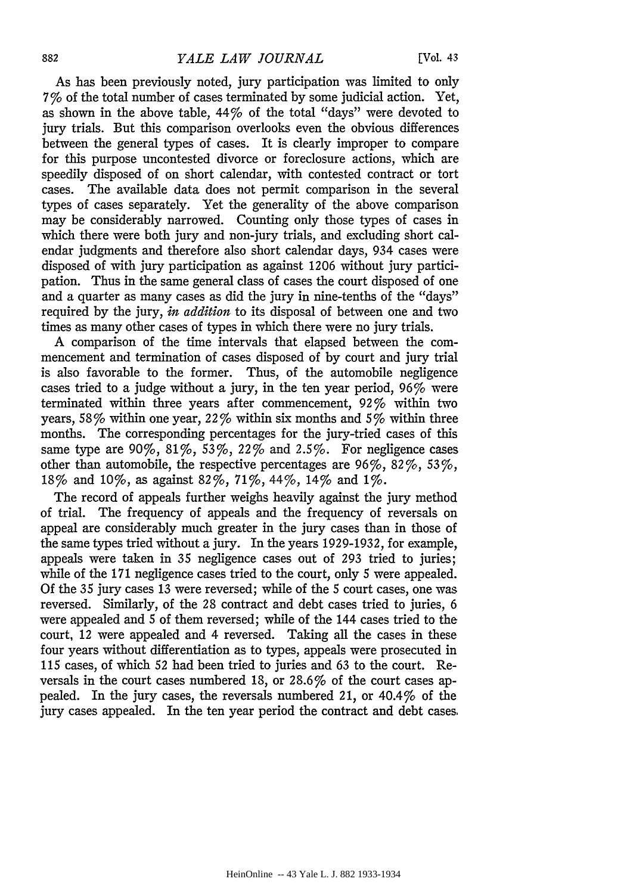As has been previously noted, jury participation was limited to only 7% of the total number of cases terminated by some judicial action. Yet, as shown in the above table, 44% of the total "days" were devoted to jury trials. But this comparison overlooks even the obvious differences between the general types of cases. It is clearly improper to compare for this purpose uncontested divorce or foreclosure actions, which are speedily disposed of on short calendar, with contested contract or tort cases. The available data does not permit comparison in the several types of cases separately. Yet the generality of the above comparison may be considerably narrowed. Counting only those types of cases in which there were both jury and non-jury trials, and excluding short calendar judgments and therefore also short calendar days, 934 cases were disposed of with jury participation as against 1206 without jury participation. Thus in the same general class of cases the court disposed of one and a quarter as many cases as did the jury in nine-tenths of the "days" required by the jury, *in addition* to its disposal of between one and two times as many other cases of types in which there were no jury trials.

A comparison of the time intervals that elapsed between the commencement and termination of cases disposed of by court and jury trial is also favorable to the former. Thus, of the automobile negligence cases tried to a judge without a jury, in the ten year period, 96% were terminated within three years after commencement, 92% within two years, 58% within one year, 22% within six months and 5% within three months. The corresponding percentages for the jury-tried cases of this same type are  $90\%$ ,  $81\%$ ,  $53\%$ ,  $22\%$  and  $2.5\%$ . For negligence cases other than automobile, the respective percentages are  $96\%, 82\%, 53\%,$ 18% and 10%, as against 82%, 71%,44%, 14% and 1%.

The record of appeals further weighs heavily against the jury method of trial. The frequency of appeals and the frequency of reversals on appeal are considerably much greater in the jury cases than in those of the same types tried without a jury. In the years 1929-1932, for example, appeals were taken in 35 negligence cases out of 293 tried to juries; while of the 171 negligence cases tried to the court, only 5 were appealed. Of the 35 jury cases 13 were reversed; while of the 5 court cases, one was reversed. Similarly, of the 28 contract and debt cases tried to juries, 6 were appealed and 5 of them reversed; while of the 144 cases tried to the court, 12 were appealed and 4 reversed. Taking all the cases in these four years without differentiation as to types, appeals were prosecuted in 115 cases, of which 52 had been tried to juries and 63 to the court. Reversals in the court cases numbered 18, or 28.6% of the court cases appealed. In the jury cases, the reversals numbered 21, or 40.4% of the jury cases appealed. In the ten year period the contract and debt cases.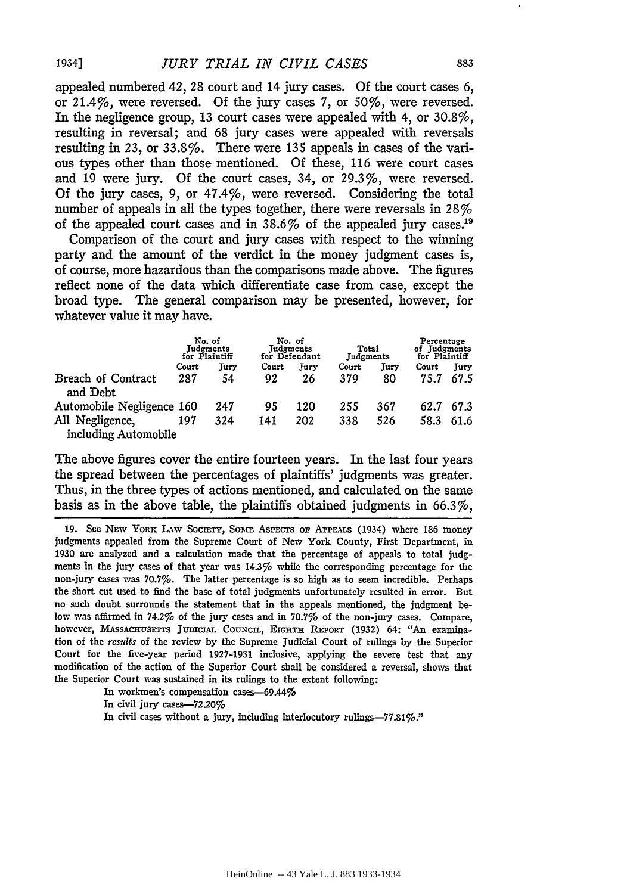appealed numbered 42, 28 court and 14 jury cases. Of the court cases 6, or 21.4%, were reversed. Of the jury cases 7, or 50%, were reversed. In the negligence group, 13 court cases were appealed with 4, or 30.8%, resulting in reversal; and 68 jury cases were appealed with reversals resulting in 23, or 33.8%. There were 135 appeals in cases of the various types other than those mentioned. Of these, 116 were court cases and 19 were jury. Of the court cases, 34, or 29.3%, were reversed. Of the jury cases, 9, or 47.4%, were reversed. Considering the total number of appeals in all the types together, there were reversals in  $28\%$ of the appealed court cases and in 38.6% of the appealed jury cases.19

Comparison of the court and jury cases with respect to the winning party and the amount of the verdict in the money judgment cases is, of course, more hazardous than the comparisons made above. The figures reflect none of the data which differentiate case from case, except the broad type. The general comparison may be presented, however, for whatever value it may have.

|                                | No. of<br>Judgments<br>for Plaintiff |      | No. of<br>Judgments<br>for Defendant |      | Total<br>Judgments |      | Percentage<br>of Judgments<br>for Plaintiff |      |
|--------------------------------|--------------------------------------|------|--------------------------------------|------|--------------------|------|---------------------------------------------|------|
|                                | Court                                | Jury | Court                                | Jury | Court              | Jury | Court                                       | Jury |
| Breach of Contract<br>and Debt | 287                                  | 54   | 92                                   | 26   | 379                | 80   | 75.7                                        | 67.5 |
| Automobile Negligence 160      |                                      | 247  | 95                                   | 120  | 255                | 367  | 62.7                                        | 67.3 |
| All Negligence,                | 197                                  | 324  | 141                                  | 202  | 338                | 526  | 58.3                                        | 61.6 |
| including Automobile           |                                      |      |                                      |      |                    |      |                                             |      |

The above figures cover the entire fourteen years. In the last four years the spread between the percentages of plaintiffs' judgments was greater. Thus, in the three types of actions mentioned, and calculated on the same basis as in the above table, the plaintiffs obtained judgments in 66.3%,

19. See NEW YORK LAW SOCIETY, SOME ASPECTS OF APPEALS (1934) where 186 money judgments appealed from the Supreme Court of New York County, First Department, in 1930 are analyzed and a calculation made that the percentage of appeals to total judgments in the jury cases of that year was 14.3% while the corresponding percentage for the non-jury cases was 70.7%. The latter percentage is so high as to seem incredible. Perhaps the short cut used to find the base of total judgments unfortunately resulted in error. But no such doubt surrounds the statement that in the appeals mentioned, the judgment below was affirmed in 74.2% of the jury cases and in 70.7% of the non-jury cases. Compare, however, MASSACHUSETTS JUDICIAL COUNCIL, EIGHTH REPORT (1932) 64: "An examination of the *results* of the review by the Supreme Judicial Court of rulings by the Superior Court for the five-year period 1927-1931 inclusive, applying the severe test that any modification of the action of the Superior Court shall be considered a reversal, shows that the Superior Court was sustained in its rulings to the extent following:

In workmen's compensation cases-69.44%

In civil jury cases-72.20%

In civil cases without a jury, including interlocutory rulings-77.81%.''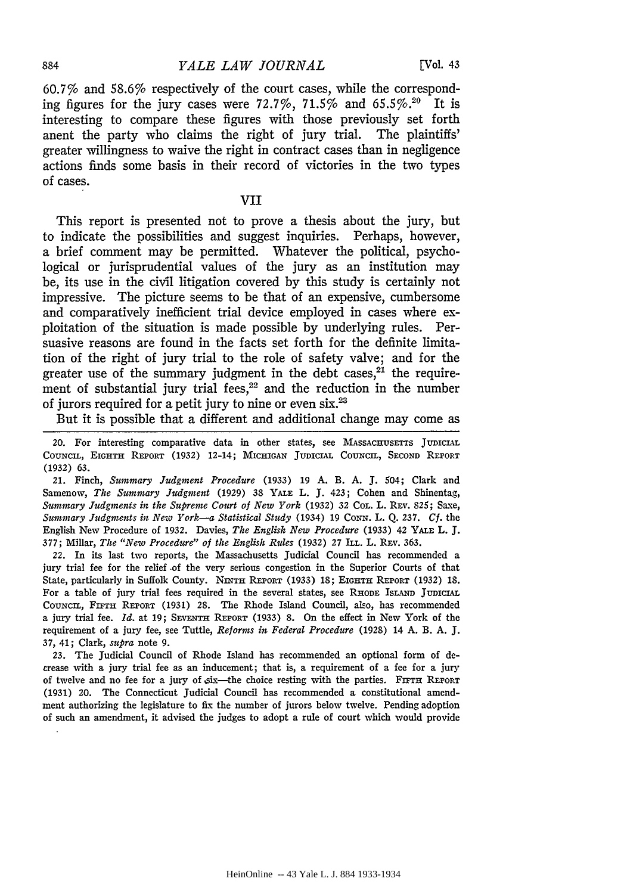60.7% and 58.6% respectively of the court cases, while the corresponding figures for the jury cases were 72.7%, 71.5% and 65.5%.<sup>20</sup> It is interesting to compare these figures with those previously set forth anent the party who claims the right of jury trial. The plaintiffs' greater willingness to waive the right in contract cases than in negligence actions finds some basis in their record of victories in the two types of cases.

#### VII

This report is presented not to prove a thesis about the jury, but to indicate the possibilities and suggest inquiries. Perhaps, however, a brief comment may be permitted. Whatever the political, psychological or jurisprudential values of the jury as an institution may be, its use in the civil litigation covered by this study is certainly not impressive. The picture seems to be that of an expensive, cumbersome and comparatively inefficient trial device employed in cases where exploitation of the situation is made possible by underlying rules. Persuasive reasons are found in the facts set forth for the definite limitation of the right of jury trial to the role of safety valve; and for the greater use of the summary judgment in the debt cases, $21$  the requirement of substantial jury trial fees,<sup>22</sup> and the reduction in the number of jurors required for a petit jury to nine or even six.23

But it is possible that a different and additional change may come as

20. For interesting comparative data in other states, see MASSACHUSETTS JUDICIAL COUNCIL, EIGHTH REPORT (1932) 12-14; MICHIGAN JUDICIAL COUNCIL, SECOND REPORT (1932) 63.

21. Finch, *Summary Judgment Procedure* (1933) 19 A. B. A. J. 504; Clark and Samenow, *The Summary Judgment* (1929) 38 YALE L. J. 423; Cohen and Shinentag, *Summary Judgments in the Supreme Court of New York* (1932) 32 CoL. L. REV. 825; Saxe, *Summary Jttdgments in New York-a Statistical Study* (1934) 19 CoNN. L. Q. 237. *Cf.* the English New Procedure of 1932. Davies, *The English New Procedure* (1933) 42 YALE L. J. 377; Millar, *The "New Procedure" of the English Rules* (1932) 27 ILL. L. REv. 363.

*22.* In its last two reports, the Massachusetts Judicial Council has recommended a jury trial fee for the relief of the very serious congestion in the Superior Courts of that State, particularly in Suffolk County. NINTH REPORT (1933) 18; EIGHTH REPORT (1932) 18. For a table of jury trial fees required in the several states, see RHODE ISLAND JUDICIAL COUNCIL, FIFTH REPORT (1931) 28. The Rhode Island Council, also, has recommended a jury trial fee. *Id.* at 19; SEVENTH REPORT (1933) 8. On the effect in New York of the requirement of a jury fee, see Tuttle, *Reforms in Federal Procedure* (1928) 14 A. B. A. J. 37, 41; Clark, *supra* note 9.

23. The Judicial Council of Rhode Island has recommended an optional form of decrease with a jury trial fee as an inducement; that is, a requirement of a fee for a jury of twelve and no fee for a jury of  $s$ ix—the choice resting with the parties. FIFTH REPORT (1931) 20. The Connecticut Judicial Council has recommended a constitutional amendment authorizing the legislature to fix the number of jurors below twelve. Pending adoption of such an amendment, it advised the judges to adopt a rule of court which would provide